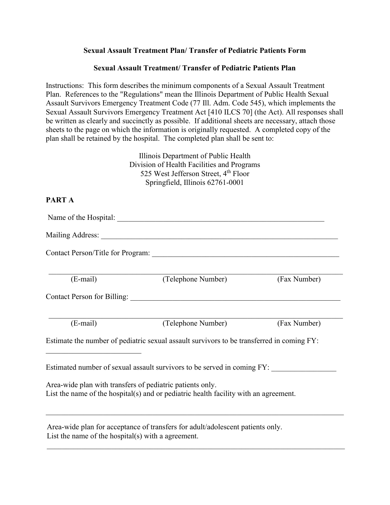## **Sexual Assault Treatment Plan/ Transfer of Pediatric Patients Form**

## **Sexual Assault Treatment/ Transfer of Pediatric Patients Plan**

Instructions: This form describes the minimum components of a Sexual Assault Treatment Plan. References to the "Regulations" mean the Illinois Department of Public Health Sexual Assault Survivors Emergency Treatment Code (77 Ill. Adm. Code 545), which implements the Sexual Assault Survivors Emergency Treatment Act [410 ILCS 70] (the Act). All responses shall be written as clearly and succinctly as possible. If additional sheets are necessary, attach those sheets to the page on which the information is originally requested. A completed copy of the plan shall be retained by the hospital. The completed plan shall be sent to:

> Illinois Department of Public Health Division of Health Facilities and Programs 525 West Jefferson Street, 4<sup>th</sup> Floor Springfield, Illinois 62761-0001

# **PART A**

Name of the Hospital: Mailing Address: \_\_\_\_\_\_\_\_\_\_\_\_\_\_\_\_\_\_\_\_\_\_\_\_\_\_\_\_\_\_\_\_\_\_\_\_\_\_\_\_\_\_\_\_\_\_\_\_\_\_\_\_\_\_\_\_\_\_\_\_\_\_ Contact Person/Title for Program: \_\_\_\_\_\_\_\_\_\_\_\_\_\_\_\_\_\_\_\_\_\_\_\_\_\_\_\_\_\_\_\_\_\_\_\_\_\_\_\_\_\_\_\_\_\_\_\_\_\_\_\_\_\_\_\_\_\_\_\_\_\_\_\_\_\_\_\_\_\_\_\_\_\_\_\_\_ (E-mail) (Telephone Number) (Fax Number) Contact Person for Billing: \_\_\_\_\_\_\_\_\_\_\_\_\_\_\_\_\_\_\_\_\_\_\_\_\_\_\_\_\_\_\_\_\_\_\_\_\_\_\_\_\_\_\_\_\_\_\_\_\_\_\_\_\_\_\_ \_\_\_\_\_\_\_\_\_\_\_\_\_\_\_\_\_\_\_\_\_\_\_\_\_\_\_\_\_\_\_\_\_\_\_\_\_\_\_\_\_\_\_\_\_\_\_\_\_\_\_\_\_\_\_\_\_\_\_\_\_\_\_\_\_\_\_\_\_\_\_\_\_\_\_\_\_ (E-mail) (Telephone Number) (Fax Number) Estimate the number of pediatric sexual assault survivors to be transferred in coming FY: \_\_\_\_\_\_\_\_\_\_\_\_\_\_\_\_\_\_\_\_\_\_\_\_\_ Estimated number of sexual assault survivors to be served in coming FY: Area-wide plan with transfers of pediatric patients only. List the name of the hospital(s) and or pediatric health facility with an agreement. \_\_\_\_\_\_\_\_\_\_\_\_\_\_\_\_\_\_\_\_\_\_\_\_\_\_\_\_\_\_\_\_\_\_\_\_\_\_\_\_\_\_\_\_\_\_\_\_\_\_\_\_\_\_\_\_\_\_\_\_\_\_\_\_\_\_\_\_\_\_\_\_\_\_\_\_\_\_ Area-wide plan for acceptance of transfers for adult/adolescent patients only.

\_\_\_\_\_\_\_\_\_\_\_\_\_\_\_\_\_\_\_\_\_\_\_\_\_\_\_\_\_\_\_\_\_\_\_\_\_\_\_\_\_\_\_\_\_\_\_\_\_\_\_\_\_\_\_\_\_\_\_\_\_\_\_\_\_\_\_\_\_\_\_\_\_\_\_\_\_\_

List the name of the hospital(s) with a agreement.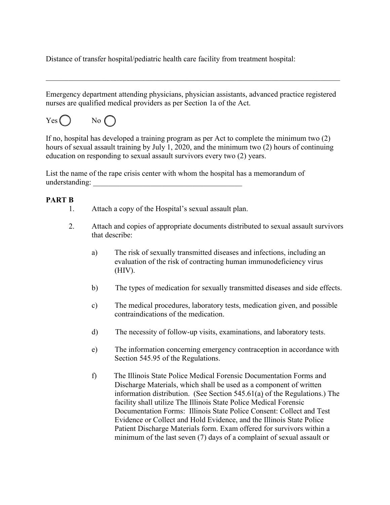Distance of transfer hospital/pediatric health care facility from treatment hospital:

Emergency department attending physicians, physician assistants, advanced practice registered nurses are qualified medical providers as per Section 1a of the Act.

\_\_\_\_\_\_\_\_\_\_\_\_\_\_\_\_\_\_\_\_\_\_\_\_\_\_\_\_\_\_\_\_\_\_\_\_\_\_\_\_\_\_\_\_\_\_\_\_\_\_\_\_\_\_\_\_\_\_\_\_\_\_\_\_\_\_\_\_\_\_\_\_\_\_\_\_\_

 $Yes()$  No  $($ 

If no, hospital has developed a training program as per Act to complete the minimum two (2) hours of sexual assault training by July 1, 2020, and the minimum two (2) hours of continuing education on responding to sexual assault survivors every two (2) years.

List the name of the rape crisis center with whom the hospital has a memorandum of understanding:

#### **PART B**

- 1. Attach a copy of the Hospital's sexual assault plan.
- 2. Attach and copies of appropriate documents distributed to sexual assault survivors that describe:
	- a) The risk of sexually transmitted diseases and infections, including an evaluation of the risk of contracting human immunodeficiency virus (HIV).
	- b) The types of medication for sexually transmitted diseases and side effects.
	- c) The medical procedures, laboratory tests, medication given, and possible contraindications of the medication.
	- d) The necessity of follow-up visits, examinations, and laboratory tests.
	- e) The information concerning emergency contraception in accordance with Section 545.95 of the Regulations.
	- f) The Illinois State Police Medical Forensic Documentation Forms and Discharge Materials, which shall be used as a component of written information distribution. (See Section 545.61(a) of the Regulations.) The facility shall utilize The Illinois State Police Medical Forensic Documentation Forms: Illinois State Police Consent: Collect and Test Evidence or Collect and Hold Evidence, and the Illinois State Police Patient Discharge Materials form. Exam offered for survivors within a minimum of the last seven (7) days of a complaint of sexual assault or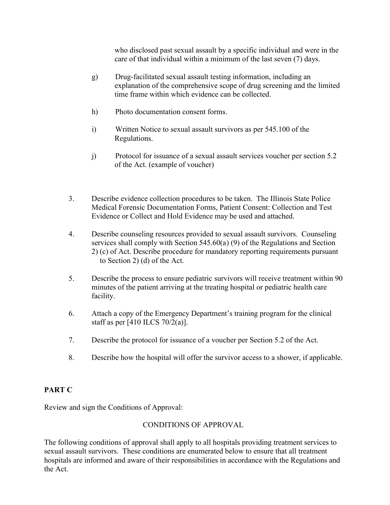who disclosed past sexual assault by a specific individual and were in the care of that individual within a minimum of the last seven (7) days.

- g) Drug-facilitated sexual assault testing information, including an explanation of the comprehensive scope of drug screening and the limited time frame within which evidence can be collected.
- h) Photo documentation consent forms.
- i) Written Notice to sexual assault survivors as per 545.100 of the Regulations.
- j) Protocol for issuance of a sexual assault services voucher per section 5.2 of the Act. (example of voucher)
- 3. Describe evidence collection procedures to be taken. The Illinois State Police Medical Forensic Documentation Forms, Patient Consent: Collection and Test Evidence or Collect and Hold Evidence may be used and attached.
- 4. Describe counseling resources provided to sexual assault survivors. Counseling services shall comply with Section 545.60(a) (9) of the Regulations and Section 2) (c) of Act. Describe procedure for mandatory reporting requirements pursuant to Section 2) (d) of the Act.
- 5. Describe the process to ensure pediatric survivors will receive treatment within 90 minutes of the patient arriving at the treating hospital or pediatric health care facility.
- 6. Attach a copy of the Emergency Department's training program for the clinical staff as per [410 ILCS 70/2(a)].
- 7. Describe the protocol for issuance of a voucher per Section 5.2 of the Act.
- 8. Describe how the hospital will offer the survivor access to a shower, if applicable.

## **PART C**

Review and sign the Conditions of Approval:

# CONDITIONS OF APPROVAL

The following conditions of approval shall apply to all hospitals providing treatment services to sexual assault survivors. These conditions are enumerated below to ensure that all treatment hospitals are informed and aware of their responsibilities in accordance with the Regulations and the Act.